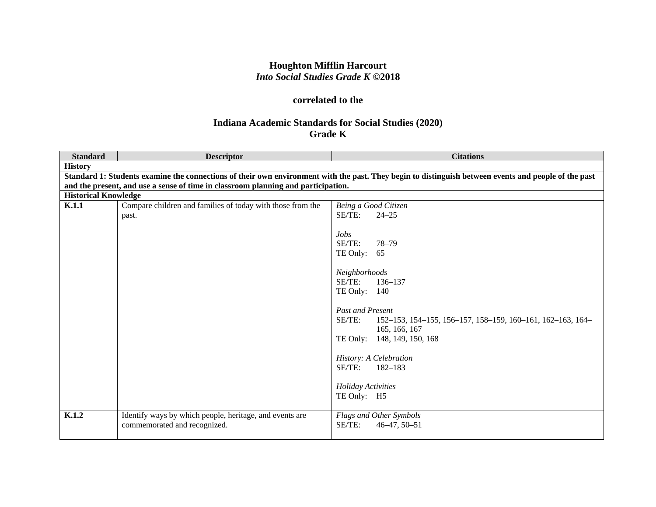# **Houghton Mifflin Harcourt** *Into Social Studies Grade K* **©2018**

## **correlated to the**

### **Indiana Academic Standards for Social Studies (2020) Grade K**

| <b>Standard</b> | <b>Descriptor</b>                                                                 | <b>Citations</b>                                                                                                                                     |  |  |
|-----------------|-----------------------------------------------------------------------------------|------------------------------------------------------------------------------------------------------------------------------------------------------|--|--|
| <b>History</b>  |                                                                                   |                                                                                                                                                      |  |  |
|                 |                                                                                   | Standard 1: Students examine the connections of their own environment with the past. They begin to distinguish between events and people of the past |  |  |
|                 | and the present, and use a sense of time in classroom planning and participation. |                                                                                                                                                      |  |  |
|                 | <b>Historical Knowledge</b>                                                       |                                                                                                                                                      |  |  |
| K.1.1           | Compare children and families of today with those from the                        | Being a Good Citizen                                                                                                                                 |  |  |
|                 | past.                                                                             | SE/TE:<br>$24 - 25$                                                                                                                                  |  |  |
|                 |                                                                                   |                                                                                                                                                      |  |  |
|                 |                                                                                   | Jobs                                                                                                                                                 |  |  |
|                 |                                                                                   | SE/TE:<br>$78 - 79$                                                                                                                                  |  |  |
|                 |                                                                                   | TE Only: $65$                                                                                                                                        |  |  |
|                 |                                                                                   |                                                                                                                                                      |  |  |
|                 |                                                                                   | Neighborhoods                                                                                                                                        |  |  |
|                 |                                                                                   | SE/TE:<br>136-137                                                                                                                                    |  |  |
|                 |                                                                                   | TE Only: 140                                                                                                                                         |  |  |
|                 |                                                                                   | <b>Past and Present</b>                                                                                                                              |  |  |
|                 |                                                                                   | SE/TE:<br>152-153, 154-155, 156-157, 158-159, 160-161, 162-163, 164-                                                                                 |  |  |
|                 |                                                                                   | 165, 166, 167                                                                                                                                        |  |  |
|                 |                                                                                   | TE Only: 148, 149, 150, 168                                                                                                                          |  |  |
|                 |                                                                                   |                                                                                                                                                      |  |  |
|                 |                                                                                   | History: A Celebration                                                                                                                               |  |  |
|                 |                                                                                   | SE/TE:<br>$182 - 183$                                                                                                                                |  |  |
|                 |                                                                                   |                                                                                                                                                      |  |  |
|                 |                                                                                   | <b>Holiday Activities</b>                                                                                                                            |  |  |
|                 |                                                                                   | TE Only: H5                                                                                                                                          |  |  |
|                 |                                                                                   |                                                                                                                                                      |  |  |
| K.1.2           | Identify ways by which people, heritage, and events are                           | Flags and Other Symbols                                                                                                                              |  |  |
|                 | commemorated and recognized.                                                      | SE/TE:<br>$46 - 47, 50 - 51$                                                                                                                         |  |  |
|                 |                                                                                   |                                                                                                                                                      |  |  |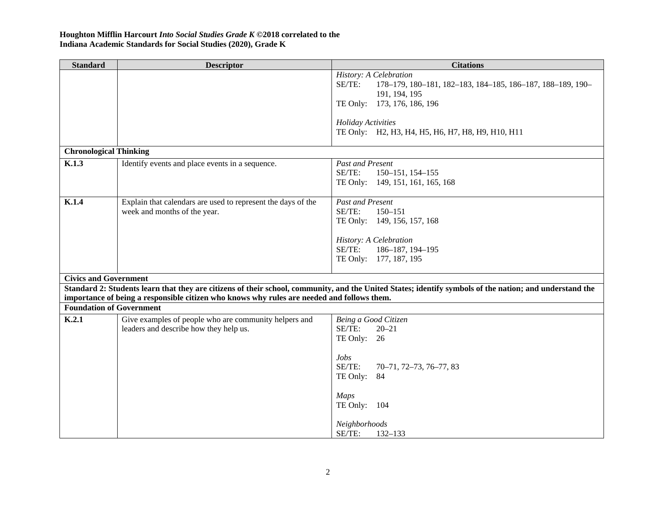| <b>Standard</b>                 | <b>Descriptor</b>                                                                          | <b>Citations</b>                                                                                                                                        |
|---------------------------------|--------------------------------------------------------------------------------------------|---------------------------------------------------------------------------------------------------------------------------------------------------------|
|                                 |                                                                                            | History: A Celebration                                                                                                                                  |
|                                 |                                                                                            | SE/TE:<br>178-179, 180-181, 182-183, 184-185, 186-187, 188-189, 190-                                                                                    |
|                                 |                                                                                            | 191, 194, 195                                                                                                                                           |
|                                 |                                                                                            | TE Only: 173, 176, 186, 196                                                                                                                             |
|                                 |                                                                                            | <b>Holiday Activities</b>                                                                                                                               |
|                                 |                                                                                            | TE Only: H2, H3, H4, H5, H6, H7, H8, H9, H10, H11                                                                                                       |
|                                 |                                                                                            |                                                                                                                                                         |
| <b>Chronological Thinking</b>   |                                                                                            |                                                                                                                                                         |
| K.1.3                           | Identify events and place events in a sequence.                                            | <b>Past and Present</b>                                                                                                                                 |
|                                 |                                                                                            | SE/TE:<br>150-151, 154-155                                                                                                                              |
|                                 |                                                                                            | TE Only: 149, 151, 161, 165, 168                                                                                                                        |
|                                 |                                                                                            |                                                                                                                                                         |
| K.1.4                           | Explain that calendars are used to represent the days of the                               | <b>Past and Present</b>                                                                                                                                 |
|                                 | week and months of the year.                                                               | SE/TE:<br>$150 - 151$                                                                                                                                   |
|                                 |                                                                                            | TE Only: 149, 156, 157, 168                                                                                                                             |
|                                 |                                                                                            | History: A Celebration                                                                                                                                  |
|                                 |                                                                                            | SE/TE:<br>186-187, 194-195                                                                                                                              |
|                                 |                                                                                            | TE Only: 177, 187, 195                                                                                                                                  |
|                                 |                                                                                            |                                                                                                                                                         |
| <b>Civics and Government</b>    |                                                                                            |                                                                                                                                                         |
|                                 |                                                                                            | Standard 2: Students learn that they are citizens of their school, community, and the United States; identify symbols of the nation; and understand the |
|                                 | importance of being a responsible citizen who knows why rules are needed and follows them. |                                                                                                                                                         |
| <b>Foundation of Government</b> |                                                                                            |                                                                                                                                                         |
| K.2.1                           | Give examples of people who are community helpers and                                      | Being a Good Citizen                                                                                                                                    |
|                                 | leaders and describe how they help us.                                                     | SE/TE:<br>$20 - 21$                                                                                                                                     |
|                                 |                                                                                            | TE Only:<br>26                                                                                                                                          |
|                                 |                                                                                            | Jobs                                                                                                                                                    |
|                                 |                                                                                            | SE/TE:<br>70-71, 72-73, 76-77, 83                                                                                                                       |
|                                 |                                                                                            | TE Only:<br>84                                                                                                                                          |
|                                 |                                                                                            |                                                                                                                                                         |
|                                 |                                                                                            | <b>Maps</b>                                                                                                                                             |
|                                 |                                                                                            | TE Only: 104                                                                                                                                            |
|                                 |                                                                                            |                                                                                                                                                         |
|                                 |                                                                                            | Neighborhoods                                                                                                                                           |
|                                 |                                                                                            | SE/TE:<br>132-133                                                                                                                                       |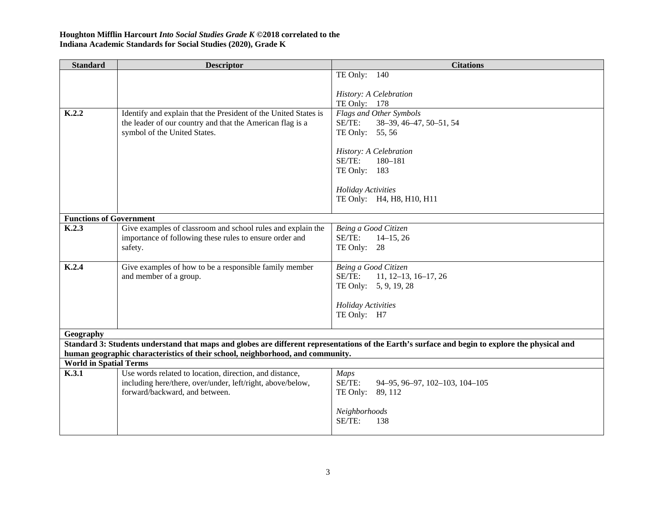| TE Only: 140<br>History: A Celebration<br>TE Only: 178<br>Flags and Other Symbols<br>K.2.2<br>Identify and explain that the President of the United States is<br>the leader of our country and that the American flag is a<br>SE/TE:<br>38-39, 46-47, 50-51, 54<br>TE Only: 55, 56<br>symbol of the United States.<br>History: A Celebration<br>SE/TE:<br>$180 - 181$<br>TE Only: 183<br>Holiday Activities<br>TE Only: H4, H8, H10, H11<br><b>Functions of Government</b><br>K.2.3<br>Give examples of classroom and school rules and explain the<br>Being a Good Citizen<br>SE/TE:<br>importance of following these rules to ensure order and<br>$14-15, 26$<br>TE Only: 28<br>safety.<br>K.2.4<br>Give examples of how to be a responsible family member<br>Being a Good Citizen<br>and member of a group.<br>SE/TE:<br>$11, 12-13, 16-17, 26$<br>TE Only: 5, 9, 19, 28<br><b>Holiday Activities</b><br>TE Only: H7<br>Geography<br>Standard 3: Students understand that maps and globes are different representations of the Earth's surface and begin to explore the physical and<br>human geographic characteristics of their school, neighborhood, and community.<br><b>World in Spatial Terms</b><br>K.3.1<br>Use words related to location, direction, and distance,<br><b>Maps</b><br>SE/TE:<br>including here/there, over/under, left/right, above/below,<br>94-95, 96-97, 102-103, 104-105<br>forward/backward, and between.<br>TE Only:<br>89, 112<br>Neighborhoods | <b>Standard</b> | <b>Descriptor</b> | <b>Citations</b> |
|----------------------------------------------------------------------------------------------------------------------------------------------------------------------------------------------------------------------------------------------------------------------------------------------------------------------------------------------------------------------------------------------------------------------------------------------------------------------------------------------------------------------------------------------------------------------------------------------------------------------------------------------------------------------------------------------------------------------------------------------------------------------------------------------------------------------------------------------------------------------------------------------------------------------------------------------------------------------------------------------------------------------------------------------------------------------------------------------------------------------------------------------------------------------------------------------------------------------------------------------------------------------------------------------------------------------------------------------------------------------------------------------------------------------------------------------------------------------------------|-----------------|-------------------|------------------|
|                                                                                                                                                                                                                                                                                                                                                                                                                                                                                                                                                                                                                                                                                                                                                                                                                                                                                                                                                                                                                                                                                                                                                                                                                                                                                                                                                                                                                                                                                  |                 |                   |                  |
|                                                                                                                                                                                                                                                                                                                                                                                                                                                                                                                                                                                                                                                                                                                                                                                                                                                                                                                                                                                                                                                                                                                                                                                                                                                                                                                                                                                                                                                                                  |                 |                   |                  |
|                                                                                                                                                                                                                                                                                                                                                                                                                                                                                                                                                                                                                                                                                                                                                                                                                                                                                                                                                                                                                                                                                                                                                                                                                                                                                                                                                                                                                                                                                  |                 |                   |                  |
|                                                                                                                                                                                                                                                                                                                                                                                                                                                                                                                                                                                                                                                                                                                                                                                                                                                                                                                                                                                                                                                                                                                                                                                                                                                                                                                                                                                                                                                                                  |                 |                   |                  |
|                                                                                                                                                                                                                                                                                                                                                                                                                                                                                                                                                                                                                                                                                                                                                                                                                                                                                                                                                                                                                                                                                                                                                                                                                                                                                                                                                                                                                                                                                  |                 |                   |                  |
|                                                                                                                                                                                                                                                                                                                                                                                                                                                                                                                                                                                                                                                                                                                                                                                                                                                                                                                                                                                                                                                                                                                                                                                                                                                                                                                                                                                                                                                                                  |                 |                   |                  |
|                                                                                                                                                                                                                                                                                                                                                                                                                                                                                                                                                                                                                                                                                                                                                                                                                                                                                                                                                                                                                                                                                                                                                                                                                                                                                                                                                                                                                                                                                  |                 |                   |                  |
|                                                                                                                                                                                                                                                                                                                                                                                                                                                                                                                                                                                                                                                                                                                                                                                                                                                                                                                                                                                                                                                                                                                                                                                                                                                                                                                                                                                                                                                                                  |                 |                   |                  |
|                                                                                                                                                                                                                                                                                                                                                                                                                                                                                                                                                                                                                                                                                                                                                                                                                                                                                                                                                                                                                                                                                                                                                                                                                                                                                                                                                                                                                                                                                  |                 |                   |                  |
|                                                                                                                                                                                                                                                                                                                                                                                                                                                                                                                                                                                                                                                                                                                                                                                                                                                                                                                                                                                                                                                                                                                                                                                                                                                                                                                                                                                                                                                                                  |                 |                   |                  |
|                                                                                                                                                                                                                                                                                                                                                                                                                                                                                                                                                                                                                                                                                                                                                                                                                                                                                                                                                                                                                                                                                                                                                                                                                                                                                                                                                                                                                                                                                  |                 |                   |                  |
|                                                                                                                                                                                                                                                                                                                                                                                                                                                                                                                                                                                                                                                                                                                                                                                                                                                                                                                                                                                                                                                                                                                                                                                                                                                                                                                                                                                                                                                                                  |                 |                   |                  |
|                                                                                                                                                                                                                                                                                                                                                                                                                                                                                                                                                                                                                                                                                                                                                                                                                                                                                                                                                                                                                                                                                                                                                                                                                                                                                                                                                                                                                                                                                  |                 |                   |                  |
|                                                                                                                                                                                                                                                                                                                                                                                                                                                                                                                                                                                                                                                                                                                                                                                                                                                                                                                                                                                                                                                                                                                                                                                                                                                                                                                                                                                                                                                                                  |                 |                   |                  |
|                                                                                                                                                                                                                                                                                                                                                                                                                                                                                                                                                                                                                                                                                                                                                                                                                                                                                                                                                                                                                                                                                                                                                                                                                                                                                                                                                                                                                                                                                  |                 |                   |                  |
|                                                                                                                                                                                                                                                                                                                                                                                                                                                                                                                                                                                                                                                                                                                                                                                                                                                                                                                                                                                                                                                                                                                                                                                                                                                                                                                                                                                                                                                                                  |                 |                   |                  |
|                                                                                                                                                                                                                                                                                                                                                                                                                                                                                                                                                                                                                                                                                                                                                                                                                                                                                                                                                                                                                                                                                                                                                                                                                                                                                                                                                                                                                                                                                  |                 |                   |                  |
|                                                                                                                                                                                                                                                                                                                                                                                                                                                                                                                                                                                                                                                                                                                                                                                                                                                                                                                                                                                                                                                                                                                                                                                                                                                                                                                                                                                                                                                                                  |                 |                   |                  |
|                                                                                                                                                                                                                                                                                                                                                                                                                                                                                                                                                                                                                                                                                                                                                                                                                                                                                                                                                                                                                                                                                                                                                                                                                                                                                                                                                                                                                                                                                  |                 |                   |                  |
|                                                                                                                                                                                                                                                                                                                                                                                                                                                                                                                                                                                                                                                                                                                                                                                                                                                                                                                                                                                                                                                                                                                                                                                                                                                                                                                                                                                                                                                                                  |                 |                   |                  |
|                                                                                                                                                                                                                                                                                                                                                                                                                                                                                                                                                                                                                                                                                                                                                                                                                                                                                                                                                                                                                                                                                                                                                                                                                                                                                                                                                                                                                                                                                  |                 |                   |                  |
|                                                                                                                                                                                                                                                                                                                                                                                                                                                                                                                                                                                                                                                                                                                                                                                                                                                                                                                                                                                                                                                                                                                                                                                                                                                                                                                                                                                                                                                                                  |                 |                   |                  |
|                                                                                                                                                                                                                                                                                                                                                                                                                                                                                                                                                                                                                                                                                                                                                                                                                                                                                                                                                                                                                                                                                                                                                                                                                                                                                                                                                                                                                                                                                  |                 |                   |                  |
|                                                                                                                                                                                                                                                                                                                                                                                                                                                                                                                                                                                                                                                                                                                                                                                                                                                                                                                                                                                                                                                                                                                                                                                                                                                                                                                                                                                                                                                                                  |                 |                   |                  |
|                                                                                                                                                                                                                                                                                                                                                                                                                                                                                                                                                                                                                                                                                                                                                                                                                                                                                                                                                                                                                                                                                                                                                                                                                                                                                                                                                                                                                                                                                  |                 |                   |                  |
|                                                                                                                                                                                                                                                                                                                                                                                                                                                                                                                                                                                                                                                                                                                                                                                                                                                                                                                                                                                                                                                                                                                                                                                                                                                                                                                                                                                                                                                                                  |                 |                   |                  |
|                                                                                                                                                                                                                                                                                                                                                                                                                                                                                                                                                                                                                                                                                                                                                                                                                                                                                                                                                                                                                                                                                                                                                                                                                                                                                                                                                                                                                                                                                  |                 |                   |                  |
|                                                                                                                                                                                                                                                                                                                                                                                                                                                                                                                                                                                                                                                                                                                                                                                                                                                                                                                                                                                                                                                                                                                                                                                                                                                                                                                                                                                                                                                                                  |                 |                   |                  |
|                                                                                                                                                                                                                                                                                                                                                                                                                                                                                                                                                                                                                                                                                                                                                                                                                                                                                                                                                                                                                                                                                                                                                                                                                                                                                                                                                                                                                                                                                  |                 |                   |                  |
|                                                                                                                                                                                                                                                                                                                                                                                                                                                                                                                                                                                                                                                                                                                                                                                                                                                                                                                                                                                                                                                                                                                                                                                                                                                                                                                                                                                                                                                                                  |                 |                   |                  |
|                                                                                                                                                                                                                                                                                                                                                                                                                                                                                                                                                                                                                                                                                                                                                                                                                                                                                                                                                                                                                                                                                                                                                                                                                                                                                                                                                                                                                                                                                  |                 |                   |                  |
|                                                                                                                                                                                                                                                                                                                                                                                                                                                                                                                                                                                                                                                                                                                                                                                                                                                                                                                                                                                                                                                                                                                                                                                                                                                                                                                                                                                                                                                                                  |                 |                   |                  |
|                                                                                                                                                                                                                                                                                                                                                                                                                                                                                                                                                                                                                                                                                                                                                                                                                                                                                                                                                                                                                                                                                                                                                                                                                                                                                                                                                                                                                                                                                  |                 |                   |                  |
|                                                                                                                                                                                                                                                                                                                                                                                                                                                                                                                                                                                                                                                                                                                                                                                                                                                                                                                                                                                                                                                                                                                                                                                                                                                                                                                                                                                                                                                                                  |                 |                   |                  |
|                                                                                                                                                                                                                                                                                                                                                                                                                                                                                                                                                                                                                                                                                                                                                                                                                                                                                                                                                                                                                                                                                                                                                                                                                                                                                                                                                                                                                                                                                  |                 |                   |                  |
| SE/TE:<br>138                                                                                                                                                                                                                                                                                                                                                                                                                                                                                                                                                                                                                                                                                                                                                                                                                                                                                                                                                                                                                                                                                                                                                                                                                                                                                                                                                                                                                                                                    |                 |                   |                  |
|                                                                                                                                                                                                                                                                                                                                                                                                                                                                                                                                                                                                                                                                                                                                                                                                                                                                                                                                                                                                                                                                                                                                                                                                                                                                                                                                                                                                                                                                                  |                 |                   |                  |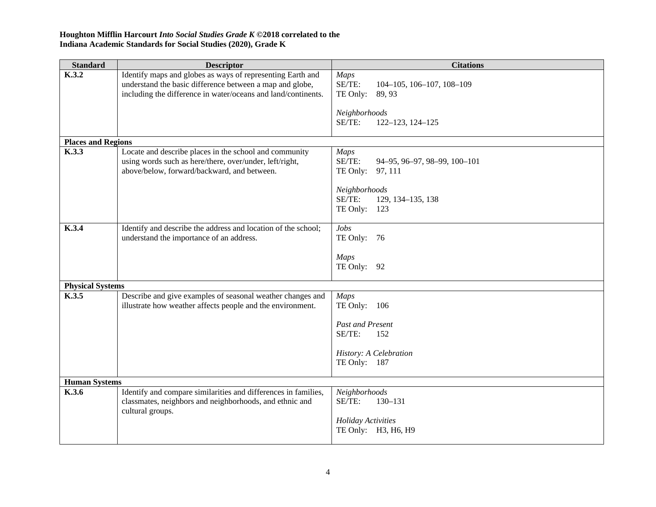| <b>Standard</b>           | <b>Descriptor</b>                                                           | <b>Citations</b>                       |
|---------------------------|-----------------------------------------------------------------------------|----------------------------------------|
| K.3.2                     | Identify maps and globes as ways of representing Earth and                  | <b>Maps</b>                            |
|                           | understand the basic difference between a map and globe,                    | SE/TE:<br>104-105, 106-107, 108-109    |
|                           | including the difference in water/oceans and land/continents.               | TE Only:<br>89, 93                     |
|                           |                                                                             | Neighborhoods                          |
|                           |                                                                             | SE/TE:<br>122-123, 124-125             |
|                           |                                                                             |                                        |
| <b>Places and Regions</b> |                                                                             |                                        |
| K.3.3                     | Locate and describe places in the school and community                      | <b>Maps</b>                            |
|                           | using words such as here/there, over/under, left/right,                     | SE/TE:<br>94-95, 96-97, 98-99, 100-101 |
|                           | above/below, forward/backward, and between.                                 | TE Only:<br>97, 111                    |
|                           |                                                                             | Neighborhoods                          |
|                           |                                                                             | SE/TE:<br>129, 134-135, 138            |
|                           |                                                                             | TE Only:<br>123                        |
|                           |                                                                             |                                        |
| K.3.4                     | Identify and describe the address and location of the school;               | Jobs                                   |
|                           | understand the importance of an address.                                    | TE Only: 76                            |
|                           |                                                                             |                                        |
|                           |                                                                             | <b>Maps</b><br>TE Only:<br>92          |
|                           |                                                                             |                                        |
| <b>Physical Systems</b>   |                                                                             |                                        |
| K.3.5                     | Describe and give examples of seasonal weather changes and                  | <b>Maps</b>                            |
|                           | illustrate how weather affects people and the environment.                  | TE Only: 106                           |
|                           |                                                                             | Past and Present                       |
|                           |                                                                             | SE/TE:<br>152                          |
|                           |                                                                             |                                        |
|                           |                                                                             | History: A Celebration                 |
|                           |                                                                             | TE Only: 187                           |
|                           |                                                                             |                                        |
| <b>Human Systems</b>      |                                                                             |                                        |
| K.3.6                     | Identify and compare similarities and differences in families,              | Neighborhoods<br>SE/TE:<br>$130 - 131$ |
|                           | classmates, neighbors and neighborhoods, and ethnic and<br>cultural groups. |                                        |
|                           |                                                                             | Holiday Activities                     |
|                           |                                                                             | TE Only: H3, H6, H9                    |
|                           |                                                                             |                                        |